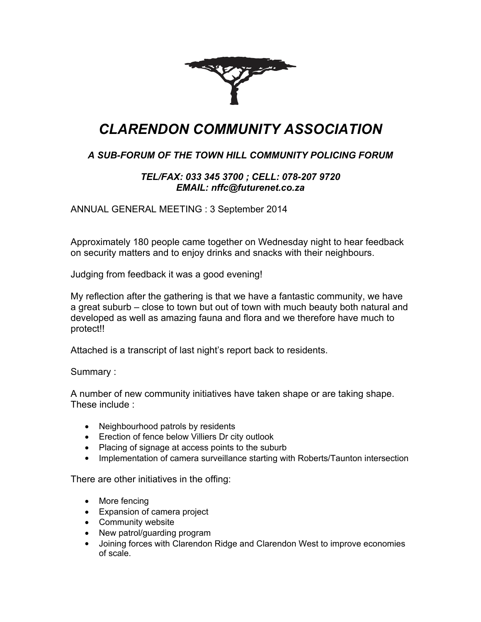

## *CLARENDON COMMUNITY ASSOCIATION*

## *A SUB-FORUM OF THE TOWN HILL COMMUNITY POLICING FORUM*

## *TEL/FAX: 033 345 3700 ; CELL: 078-207 9720 EMAIL: nffc@futurenet.co.za*

ANNUAL GENERAL MEETING : 3 September 2014

Approximately 180 people came together on Wednesday night to hear feedback on security matters and to enjoy drinks and snacks with their neighbours.

Judging from feedback it was a good evening!

My reflection after the gathering is that we have a fantastic community, we have a great suburb – close to town but out of town with much beauty both natural and developed as well as amazing fauna and flora and we therefore have much to protect!!

Attached is a transcript of last night's report back to residents.

Summary :

A number of new community initiatives have taken shape or are taking shape. These include :

- Neighbourhood patrols by residents
- Erection of fence below Villiers Dr city outlook
- Placing of signage at access points to the suburb
- Implementation of camera surveillance starting with Roberts/Taunton intersection

There are other initiatives in the offing:

- More fencing
- Expansion of camera project
- Community website
- New patrol/guarding program
- Joining forces with Clarendon Ridge and Clarendon West to improve economies of scale.